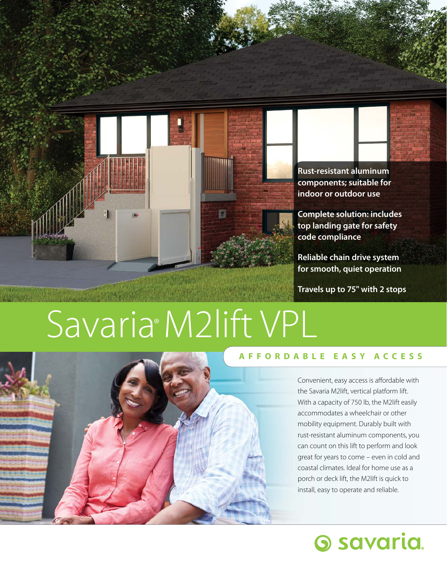

**Rust-resistant aluminum components; suitable for indoor or outdoor use** 

**Complete solution: includes top landing gate for safety code compliance** 

**Reliable chain drive system for smooth, quiet operation** 

**Travels up to 75" with 2 stops** 

# Savaria®M2lift VPL



### **AFFORDABLE EASY ACCESS**

Convenient, easy access is affordable with the Savaria M2lift, vertical platform lift. With a capacity of 750 lb, the M2lift easily accommodates a wheelchair or other mobility equipment. Durably built with rust-resistant aluminum components, you can count on this lift to perform and look great for years to come – even in cold and coastal climates. Ideal for home use as a porch or deck lift, the M2lift is quick to install, easy to operate and reliable.